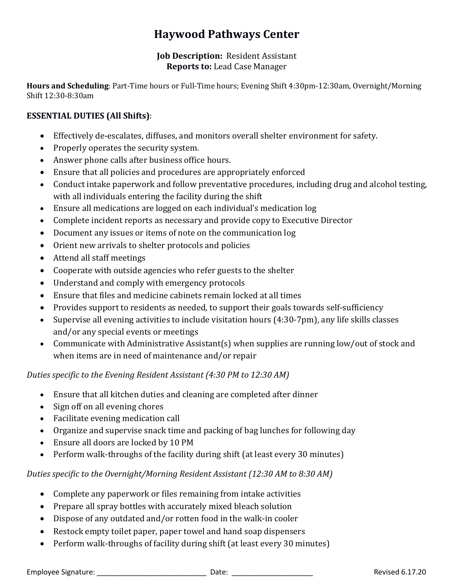# **Haywood Pathways Center**

#### **Job Description:** Resident Assistant **Reports to:** Lead Case Manager

**Hours and Scheduling**: Part-Time hours or Full-Time hours; Evening Shift 4:30pm-12:30am, Overnight/Morning Shift 12:30-8:30am

## **ESSENTIAL DUTIES (All Shifts)**:

- Effectively de-escalates, diffuses, and monitors overall shelter environment for safety.
- Properly operates the security system.
- Answer phone calls after business office hours.
- Ensure that all policies and procedures are appropriately enforced
- Conduct intake paperwork and follow preventative procedures, including drug and alcohol testing, with all individuals entering the facility during the shift
- Ensure all medications are logged on each individual's medication log
- Complete incident reports as necessary and provide copy to Executive Director
- Document any issues or items of note on the communication log
- Orient new arrivals to shelter protocols and policies
- Attend all staff meetings
- Cooperate with outside agencies who refer guests to the shelter
- Understand and comply with emergency protocols
- Ensure that files and medicine cabinets remain locked at all times
- Provides support to residents as needed, to support their goals towards self-sufficiency
- Supervise all evening activities to include visitation hours (4:30-7pm), any life skills classes and/or any special events or meetings
- Communicate with Administrative Assistant(s) when supplies are running low/out of stock and when items are in need of maintenance and/or repair

*Duties specific to the Evening Resident Assistant (4:30 PM to 12:30 AM)*

- Ensure that all kitchen duties and cleaning are completed after dinner
- Sign off on all evening chores
- Facilitate evening medication call
- Organize and supervise snack time and packing of bag lunches for following day
- Ensure all doors are locked by 10 PM
- Perform walk-throughs of the facility during shift (at least every 30 minutes)

*Duties specific to the Overnight/Morning Resident Assistant (12:30 AM to 8:30 AM)*

- Complete any paperwork or files remaining from intake activities
- Prepare all spray bottles with accurately mixed bleach solution
- Dispose of any outdated and/or rotten food in the walk-in cooler
- Restock empty toilet paper, paper towel and hand soap dispensers
- Perform walk-throughs of facility during shift (at least every 30 minutes)